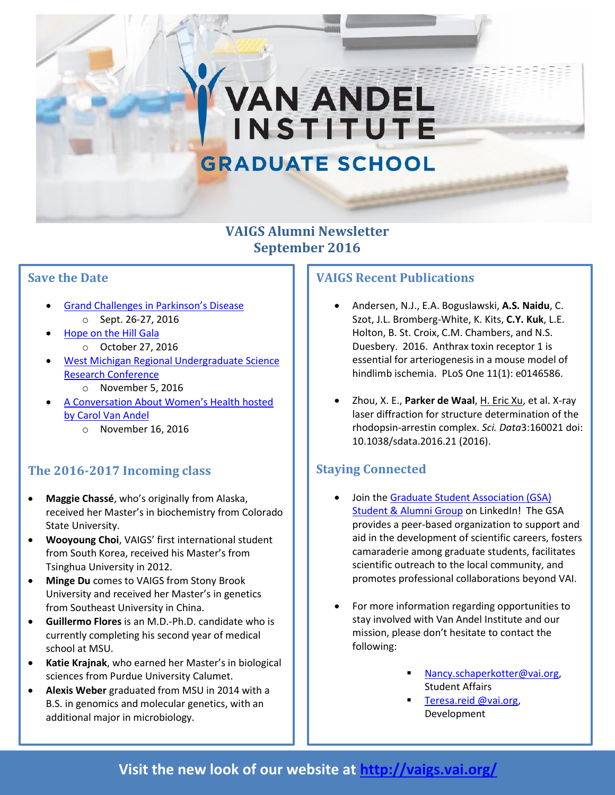# **GRADUATE SCHOOL**

**VAN ANDEL** 

**INSTITUTE** 

#### **VAIGS Alumni Newsletter September 2016**

#### **Save the Date**

- [Grand Challenges in Parkinson's Disease](http://grandchallengesinpd.org/) o Sept. 26-27, 2016
- [Hope on the Hill Gala](http://www.vai.org/event/hope-on-the-hill-16/)
	- o October 27, 2016
- [West Michigan Regional Undergraduate Science](http://vaei.vai.org/undergrad/wmrugs/)  [Research Conference](http://vaei.vai.org/undergrad/wmrugs/)
	- o November 5, 2016
- [A Conversation About Women](http://www.vai.org/event/convo-about-womens-health/)'s Health hosted [by Carol Van Andel](http://www.vai.org/event/convo-about-womens-health/)
	- o November 16, 2016

# **The 2016-2017 Incoming class**

- **Maggie Chassé**, who's originally from Alaska, received her Master's in biochemistry from Colorado State University.
- **Wooyoung Choi**, VAIGS' first international student from South Korea, received his Master's from Tsinghua University in 2012.
- **Minge Du** comes to VAIGS from Stony Brook University and received her Master's in genetics from Southeast University in China.
- **Guillermo Flores** is an M.D.-Ph.D. candidate who is currently completing his second year of medical school at MSU.
- sciences from Purdue University Calumet. **Katie Krajnak**, who earned her Master's in biological
- **Alexis Weber** graduated from MSU in 2014 with a B.S. in genomics and molecular genetics, with an additional major in microbiology.

#### **VAIGS Recent Publications**

- Andersen, N.J., E.A. Boguslawski, **A.S. Naidu**, C. Szot, J.L. Bromberg-White, K. Kits, **C.Y. Kuk**, L.E. Holton, B. St. Croix, C.M. Chambers, and N.S. Duesbery. 2016. Anthrax toxin receptor 1 is essential for arteriogenesis in a mouse model of hindlimb ischemia. PLoS One 11(1): e0146586.
- Zhou, X. E., **Parker de Waal**, H. Eric Xu, et al. X-ray laser diffraction for structure determination of the rhodopsin-arrestin complex. *Sci. Data*3:160021 doi: 10.1038/sdata.2016.21 (2016).

# **Staying Connected**

- Join th[e Graduate Student Association \(GSA\)](https://www.linkedin.com/groups/6753656/profile)  [Student & Alumni Group](https://www.linkedin.com/groups/6753656/profile) on LinkedIn! The GSA provides a peer-based organization to support and aid in the development of scientific careers, fosters camaraderie among graduate students, facilitates scientific outreach to the local community, and promotes professional collaborations beyond VAI.
- For more information regarding opportunities to stay involved with Van Andel Institute and our mission, please don't hesitate to contact the following:
	- [Nancy.schaperkotter@vai.org,](mailto:Nancy.schaperkotter@vai.org) Student Affairs
	- [Teresa.reid @vai.org,](mailto:Teresa.Marchetti@vai.org) Development

# **Visit the new look of our website at<http://vaigs.vai.org/>**